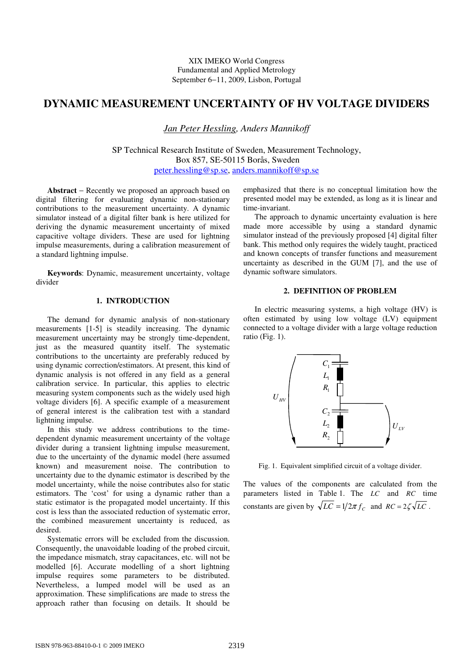# **DYNAMIC MEASUREMENT UNCERTAINTY OF HV VOLTAGE DIVIDERS**

*Jan Peter Hessling, Anders Mannikoff*

SP Technical Research Institute of Sweden, Measurement Technology, Box 857, SE-50115 Borås, Sweden peter.hessling@sp.se, anders.mannikoff@sp.se

**Abstract** − Recently we proposed an approach based on digital filtering for evaluating dynamic non-stationary contributions to the measurement uncertainty. A dynamic simulator instead of a digital filter bank is here utilized for deriving the dynamic measurement uncertainty of mixed capacitive voltage dividers. These are used for lightning impulse measurements, during a calibration measurement of a standard lightning impulse.

**Keywords**: Dynamic, measurement uncertainty, voltage divider

# **1. INTRODUCTION**

The demand for dynamic analysis of non-stationary measurements [1-5] is steadily increasing. The dynamic measurement uncertainty may be strongly time-dependent, just as the measured quantity itself. The systematic contributions to the uncertainty are preferably reduced by using dynamic correction/estimators. At present, this kind of dynamic analysis is not offered in any field as a general calibration service. In particular, this applies to electric measuring system components such as the widely used high voltage dividers [6]. A specific example of a measurement of general interest is the calibration test with a standard lightning impulse.

In this study we address contributions to the timedependent dynamic measurement uncertainty of the voltage divider during a transient lightning impulse measurement, due to the uncertainty of the dynamic model (here assumed known) and measurement noise. The contribution to uncertainty due to the dynamic estimator is described by the model uncertainty, while the noise contributes also for static estimators. The 'cost' for using a dynamic rather than a static estimator is the propagated model uncertainty. If this cost is less than the associated reduction of systematic error, the combined measurement uncertainty is reduced, as desired.

Systematic errors will be excluded from the discussion. Consequently, the unavoidable loading of the probed circuit, the impedance mismatch, stray capacitances, etc. will not be modelled [6]. Accurate modelling of a short lightning impulse requires some parameters to be distributed. Nevertheless, a lumped model will be used as an approximation. These simplifications are made to stress the approach rather than focusing on details. It should be

emphasized that there is no conceptual limitation how the presented model may be extended, as long as it is linear and time-invariant.

The approach to dynamic uncertainty evaluation is here made more accessible by using a standard dynamic simulator instead of the previously proposed [4] digital filter bank. This method only requires the widely taught, practiced and known concepts of transfer functions and measurement uncertainty as described in the GUM [7], and the use of dynamic software simulators.

### **2. DEFINITION OF PROBLEM**

In electric measuring systems, a high voltage (HV) is often estimated by using low voltage (LV) equipment connected to a voltage divider with a large voltage reduction ratio (Fig. 1).



Fig. 1. Equivalent simplified circuit of a voltage divider.

The values of the components are calculated from the parameters listed in Table 1. The *LC* and *RC* time constants are given by  $\sqrt{LC} = 1/2\pi f_c$  and  $RC = 2\zeta\sqrt{LC}$ .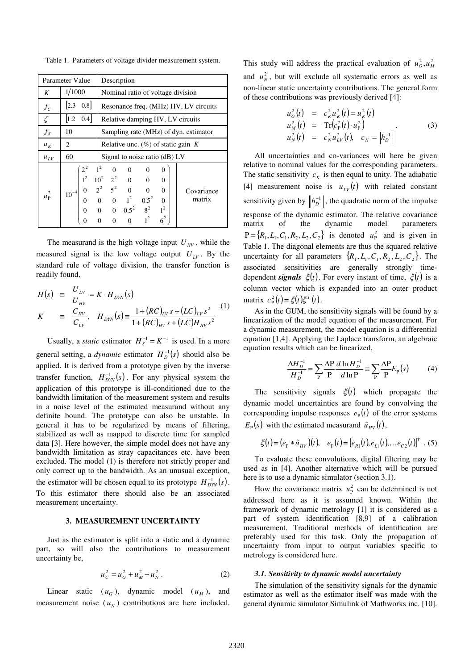Table 1. Parameters of voltage divider measurement system.

| Parameter Value |                                                                            | Description                                                                                                                                                                                                                                                                                                                                       |
|-----------------|----------------------------------------------------------------------------|---------------------------------------------------------------------------------------------------------------------------------------------------------------------------------------------------------------------------------------------------------------------------------------------------------------------------------------------------|
| K               | 1/1000                                                                     | Nominal ratio of voltage division                                                                                                                                                                                                                                                                                                                 |
| $f_C$           | $[2.3 \ 0.8]$                                                              | Resonance freq. (MHz) HV, LV circuits                                                                                                                                                                                                                                                                                                             |
| $\zeta$         | $ 1.2 \t0.4 $                                                              | Relative damping HV, LV circuits                                                                                                                                                                                                                                                                                                                  |
| $f_{S}$         | 10                                                                         | Sampling rate (MHz) of dyn. estimator                                                                                                                                                                                                                                                                                                             |
| $u_K$           | 2                                                                          | Relative unc. $(\%)$ of static gain K                                                                                                                                                                                                                                                                                                             |
| $u_{LV}$        | 60                                                                         | Signal to noise ratio (dB) LV                                                                                                                                                                                                                                                                                                                     |
| $u_{\rm P}^2$   | $2^2$<br>$1^2$<br>$\theta$<br>$10^{-4}$<br>0<br>$\overline{0}$<br>$\theta$ | $1^2$<br>$\overline{0}$<br>$\overline{0}$<br>$\boldsymbol{0}$<br>$\Omega$<br>$10^2$ $2^2$ 0 0<br>$2^2$ $5^2$ 0 0<br>0 0 1 <sup>2</sup> 0.5 <sup>2</sup><br>$\Omega$<br>$\Omega$<br>Covariance<br>$0.5^2$<br>matrix<br>$\overline{0}$<br>0 0 $0.5^2$ $8^2$<br>$1^2$<br>$1^2$<br>6 <sup>2</sup><br>$\overline{0}$<br>$\mathbf{0}$<br>$\overline{0}$ |

The measurand is the high voltage input  $U_{HV}$ , while the measured signal is the low voltage output  $U_{LV}$ . By the standard rule of voltage division, the transfer function is readily found,

$$
H(s) = \frac{U_{LV}}{U_{HV}} = K \cdot H_{DYN}(s)
$$
  
\n
$$
K = \frac{C_{HV}}{C_{LV}}, \quad H_{DYN}(s) = \frac{1 + (RC)_{LV} s + (LC)_{LV} s^2}{1 + (RC)_{HV} s + (LC) H_{HV} s^2}
$$
 (1)

*U*

Usually, a *static* estimator  $H_S^{-1} = K^{-1}$  is used. In a more general setting, a *dynamic* estimator  $H_D^{-1}(s)$  should also be applied. It is derived from a prototype given by the inverse transfer function,  $H_{DYN}^{-1}(s)$ . For any physical system the application of this prototype is ill-conditioned due to the bandwidth limitation of the measurement system and results in a noise level of the estimated measurand without any definite bound. The prototype can also be unstable. In general it has to be regularized by means of filtering, stabilized as well as mapped to discrete time for sampled data [3]. Here however, the simple model does not have any bandwidth limitation as stray capacitances etc. have been excluded. The model (1) is therefore not strictly proper and only correct up to the bandwidth. As an unusual exception, the estimator will be chosen equal to its prototype  $H_{\text{DYN}}^{-1}(s)$ . To this estimator there should also be an associated measurement uncertainty.

## **3. MEASUREMENT UNCERTAINTY**

Just as the estimator is split into a static and a dynamic part, so will also the contributions to measurement uncertainty be,

$$
u_C^2 = u_G^2 + u_M^2 + u_N^2. \tag{2}
$$

Linear static  $(u_G)$ , dynamic model  $(u_M)$ , and measurement noise  $(u_N)$  contributions are here included.

This study will address the practical evaluation of  $u_G^2$ ,  $u_M^2$ and  $u_N^2$ , but will exclude all systematic errors as well as non-linear static uncertainty contributions. The general form of these contributions was previously derived [4]:

$$
u_G^2(t) = c_K^2 u_K^2(t) = u_K^2(t)
$$
  
\n
$$
u_M^2(t) = \text{Tr}(c_P^2(t) \cdot u_P^2)
$$
  
\n
$$
u_N^2(t) = c_N^2 u_{LV}^2(t), \quad c_N = ||h_D^{-1}||
$$
\n(3)

All uncertainties and co-variances will here be given relative to nominal values for the corresponding parameters. The static sensitivity  $c_K$  is then equal to unity. The adiabatic [4] measurement noise is  $u_{LV}(t)$  with related constant sensitivity given by  $\Vert h_D^{-1} \Vert$ , the quadratic norm of the impulse response of the dynamic estimator. The relative covariance matrix of the dynamic model parameters  $P = \{R_1, L_1, C_1, R_2, L_2, C_2\}$  is denoted  $u_P^2$  and is given in Table 1. The diagonal elements are thus the squared relative uncertainty for all parameters  $\{R_1, L_1, C_1, R_2, L_2, C_2\}$ . The associated sensitivities are generally strongly timedependent *signals*  $\xi(t)$ . For every instant of time,  $\xi(t)$  is a column vector which is expanded into an outer product matrix  $c_{\rm P}^2(t) = \xi(t)\xi^T(t)$ .

As in the GUM, the sensitivity signals will be found by a linearization of the model equation of the measurement. For a dynamic measurement, the model equation is a differential equation [1,4]. Applying the Laplace transform, an algebraic equation results which can be linearized,

$$
\frac{\Delta H_D^{-1}}{H_D^{-1}} = \sum_{\mathbf{P}} \frac{\Delta \mathbf{P}}{\mathbf{P}} \frac{d \ln H_D^{-1}}{d \ln \mathbf{P}} \equiv \sum_{\mathbf{P}} \frac{\Delta \mathbf{P}}{\mathbf{P}} E_{\mathbf{P}}(s) \tag{4}
$$

The sensitivity signals  $\xi(t)$  which propagate the dynamic model uncertainties are found by convolving the corresponding impulse responses  $e_{\rm p}(t)$  of the error systems  $E_{\rm P}(s)$  with the estimated measurand  $\hat{u}_{HV}(t)$ ,

$$
\xi(t) = (e_{P} * \hat{u}_{HV})(t), \quad e_{P}(t) = [e_{R1}(t), e_{L1}(t), \dots e_{C2}(t)]^{T} \quad (5)
$$

To evaluate these convolutions, digital filtering may be used as in [4]. Another alternative which will be pursued here is to use a dynamic simulator (section 3.1).

How the covariance matrix  $u_{\rm p}^2$  can be determined is not addressed here as it is assumed known. Within the framework of dynamic metrology [1] it is considered as a part of system identification [8,9] of a calibration measurement. Traditional methods of identification are preferably used for this task. Only the propagation of uncertainty from input to output variables specific to metrology is considered here.

#### *3.1. Sensitivity to dynamic model uncertainty*

The simulation of the sensitivity signals for the dynamic estimator as well as the estimator itself was made with the general dynamic simulator Simulink of Mathworks inc. [10].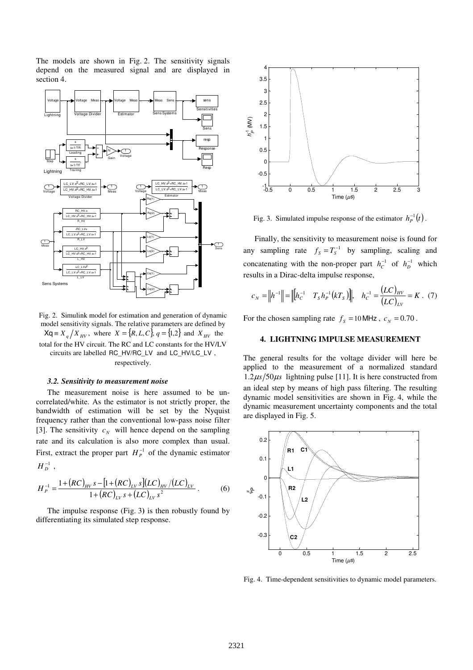The models are shown in Fig. 2. The sensitivity signals depend on the measured signal and are displayed in section 4.



Fig. 2. Simulink model for estimation and generation of dynamic model sensitivity signals. The relative parameters are defined by  $Xq \equiv X_q / X_{HV}$ , where  $X = \{R, L, C\}$ ,  $q = \{1, 2\}$  and  $X_{HV}$  the total for the HV circuit. The RC and LC constants for the HV/LV circuits are labelled RC\_HV/RC\_LV and LC\_HV/LC\_LV , respectively.

#### *3.2. Sensitivity to measurement noise*

The measurement noise is here assumed to be uncorrelated/white. As the estimator is not strictly proper, the bandwidth of estimation will be set by the Nyquist frequency rather than the conventional low-pass noise filter [3]. The sensitivity  $c_N$  will hence depend on the sampling rate and its calculation is also more complex than usual. First, extract the proper part  $H_P^{-1}$  of the dynamic estimator  $H_D^{-1}$  ,

$$
H_P^{-1} = \frac{1 + (RC)_{HV} s - [1 + (RC)_{LV} s](LC)_{HV} / (LC)_{LV}}{1 + (RC)_{LV} s + (LC)_{LV} s^2}.
$$
 (6)

The impulse response (Fig. 3**)** is then robustly found by differentiating its simulated step response.



Fig. 3. Simulated impulse response of the estimator  $h_P^{-1}(t)$ .

Finally, the sensitivity to measurement noise is found for any sampling rate  $f_s = T_s^{-1}$  by sampling, scaling and concatenating with the non-proper part  $h_c^{-1}$  of  $h_D^{-1}$  which results in a Dirac-delta impulse response,

$$
c_N = ||h^{-1}|| = ||[h_c^{-1} \quad T_s h_p^{-1}(kT_s) ||, \quad h_c^{-1} = \frac{(LC)_{HV}}{(LC)_{LV}} = K \quad (7)
$$

For the chosen sampling rate  $f_s = 10$  MHz,  $c_N = 0.70$ .

## **4. LIGHTNING IMPULSE MEASUREMENT**

The general results for the voltage divider will here be applied to the measurement of a normalized standard  $1.2\mu s/50\mu s$  lightning pulse [11]. It is here constructed from an ideal step by means of high pass filtering. The resulting dynamic model sensitivities are shown in Fig. 4, while the dynamic measurement uncertainty components and the total are displayed in Fig. 5.



Fig. 4. Time-dependent sensitivities to dynamic model parameters.